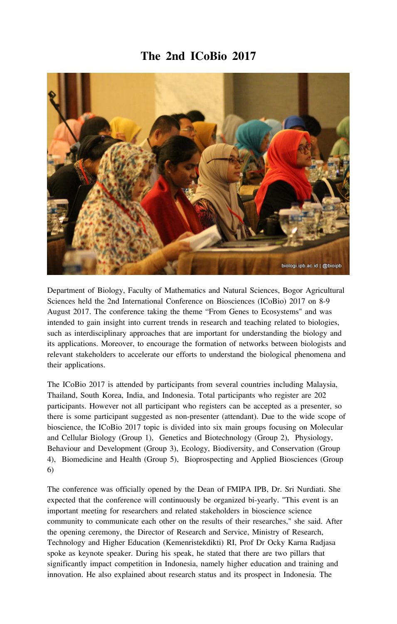## **The 2nd ICoBio 2017**



Department of Biology, Faculty of Mathematics and Natural Sciences, Bogor Agricultural Sciences held the 2nd International Conference on Biosciences (ICoBio) 2017 on 8-9 August 2017. The conference taking the theme "From Genes to Ecosystems" and was intended to gain insight into current trends in research and teaching related to biologies, such as interdisciplinary approaches that are important for understanding the biology and its applications. Moreover, to encourage the formation of networks between biologists and relevant stakeholders to accelerate our efforts to understand the biological phenomena and their applications.

The ICoBio 2017 is attended by participants from several countries including Malaysia, Thailand, South Korea, India, and Indonesia. Total participants who register are 202 participants. However not all participant who registers can be accepted as a presenter, so there is some participant suggested as non-presenter (attendant). Due to the wide scope of bioscience, the ICoBio 2017 topic is divided into six main groups focusing on Molecular and Cellular Biology (Group 1), Genetics and Biotechnology (Group 2), Physiology, Behaviour and Development (Group 3), Ecology, Biodiversity, and Conservation (Group 4), Biomedicine and Health (Group 5), Bioprospecting and Applied Biosciences (Group 6)

The conference was officially opened by the Dean of FMIPA IPB, Dr. Sri Nurdiati. She expected that the conference will continuously be organized bi-yearly. "This event is an important meeting for researchers and related stakeholders in bioscience science community to communicate each other on the results of their researches," she said. After the opening ceremony, the Director of Research and Service, Ministry of Research, Technology and Higher Education (Kemenristekdikti) RI, Prof Dr Ocky Karna Radjasa spoke as keynote speaker. During his speak, he stated that there are two pillars that significantly impact competition in Indonesia, namely higher education and training and innovation. He also explained about research status and its prospect in Indonesia. The